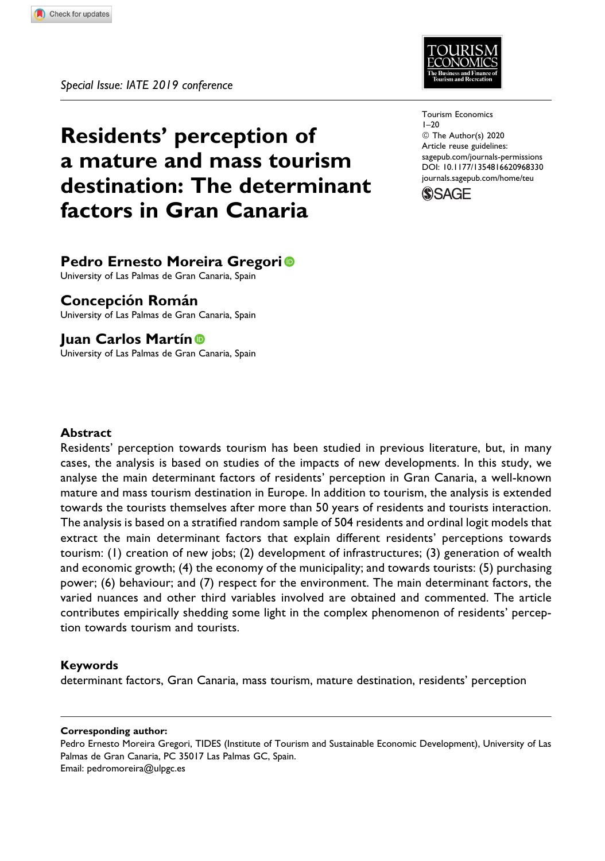# **Residents' perception of a mature and mass tourism destination: The determinant factors in Gran Canaria**

# **Pedro Ernesto Moreira Gregori**

University of Las Palmas de Gran Canaria, Spain

## **Concepción Román**

University of Las Palmas de Gran Canaria, Spain

# **Juan Carlos Martín**

University of Las Palmas de Gran Canaria, Spain



Tourism Economics  $1 - 20$ ª The Author(s) 2020 Article reuse guidelines: [sagepub.com/journals-permissions](https://sagepub.com/journals-permissions) [DOI: 10.1177/1354816620968330](https://doi.org/10.1177/1354816620968330) [journals.sagepub.com/home/teu](http://journals.sagepub.com/home/teu)



#### **Abstract**

Residents' perception towards tourism has been studied in previous literature, but, in many cases, the analysis is based on studies of the impacts of new developments. In this study, we analyse the main determinant factors of residents' perception in Gran Canaria, a well-known mature and mass tourism destination in Europe. In addition to tourism, the analysis is extended towards the tourists themselves after more than 50 years of residents and tourists interaction. The analysis is based on a stratified random sample of 504 residents and ordinal logit models that extract the main determinant factors that explain different residents' perceptions towards tourism: (1) creation of new jobs; (2) development of infrastructures; (3) generation of wealth and economic growth; (4) the economy of the municipality; and towards tourists: (5) purchasing power; (6) behaviour; and (7) respect for the environment. The main determinant factors, the varied nuances and other third variables involved are obtained and commented. The article contributes empirically shedding some light in the complex phenomenon of residents' perception towards tourism and tourists.

#### **Keywords**

determinant factors, Gran Canaria, mass tourism, mature destination, residents' perception

#### **Corresponding author:**

Pedro Ernesto Moreira Gregori, TIDES (Institute of Tourism and Sustainable Economic Development), University of Las Palmas de Gran Canaria, PC 35017 Las Palmas GC, Spain. Email: [pedromoreira@ulpgc.es](mailto:pedromoreira@ulpgc.es)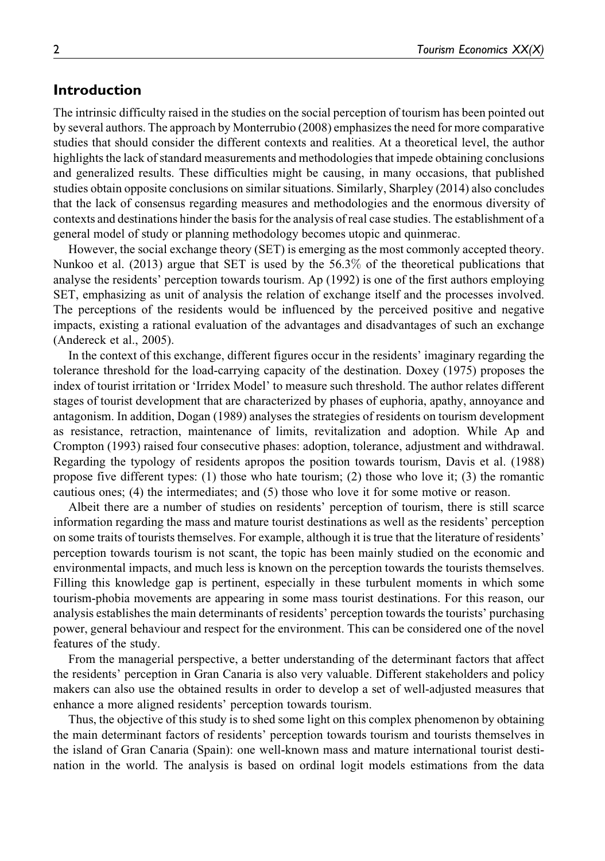# **Introduction**

The intrinsic difficulty raised in the studies on the social perception of tourism has been pointed out by several authors. The approach by Monterrubio (2008) emphasizes the need for more comparative studies that should consider the different contexts and realities. At a theoretical level, the author highlights the lack of standard measurements and methodologies that impede obtaining conclusions and generalized results. These difficulties might be causing, in many occasions, that published studies obtain opposite conclusions on similar situations. Similarly, Sharpley (2014) also concludes that the lack of consensus regarding measures and methodologies and the enormous diversity of contexts and destinations hinder the basis for the analysis of real case studies. The establishment of a general model of study or planning methodology becomes utopic and quinmerac.

However, the social exchange theory (SET) is emerging as the most commonly accepted theory. Nunkoo et al. (2013) argue that SET is used by the 56.3% of the theoretical publications that analyse the residents' perception towards tourism. Ap (1992) is one of the first authors employing SET, emphasizing as unit of analysis the relation of exchange itself and the processes involved. The perceptions of the residents would be influenced by the perceived positive and negative impacts, existing a rational evaluation of the advantages and disadvantages of such an exchange (Andereck et al., 2005).

In the context of this exchange, different figures occur in the residents' imaginary regarding the tolerance threshold for the load-carrying capacity of the destination. Doxey (1975) proposes the index of tourist irritation or 'Irridex Model' to measure such threshold. The author relates different stages of tourist development that are characterized by phases of euphoria, apathy, annoyance and antagonism. In addition, Dogan (1989) analyses the strategies of residents on tourism development as resistance, retraction, maintenance of limits, revitalization and adoption. While Ap and Crompton (1993) raised four consecutive phases: adoption, tolerance, adjustment and withdrawal. Regarding the typology of residents apropos the position towards tourism, Davis et al. (1988) propose five different types: (1) those who hate tourism; (2) those who love it; (3) the romantic cautious ones; (4) the intermediates; and (5) those who love it for some motive or reason.

Albeit there are a number of studies on residents' perception of tourism, there is still scarce information regarding the mass and mature tourist destinations as well as the residents' perception on some traits of tourists themselves. For example, although it is true that the literature of residents' perception towards tourism is not scant, the topic has been mainly studied on the economic and environmental impacts, and much less is known on the perception towards the tourists themselves. Filling this knowledge gap is pertinent, especially in these turbulent moments in which some tourism-phobia movements are appearing in some mass tourist destinations. For this reason, our analysis establishes the main determinants of residents' perception towards the tourists' purchasing power, general behaviour and respect for the environment. This can be considered one of the novel features of the study.

From the managerial perspective, a better understanding of the determinant factors that affect the residents' perception in Gran Canaria is also very valuable. Different stakeholders and policy makers can also use the obtained results in order to develop a set of well-adjusted measures that enhance a more aligned residents' perception towards tourism.

Thus, the objective of this study is to shed some light on this complex phenomenon by obtaining the main determinant factors of residents' perception towards tourism and tourists themselves in the island of Gran Canaria (Spain): one well-known mass and mature international tourist destination in the world. The analysis is based on ordinal logit models estimations from the data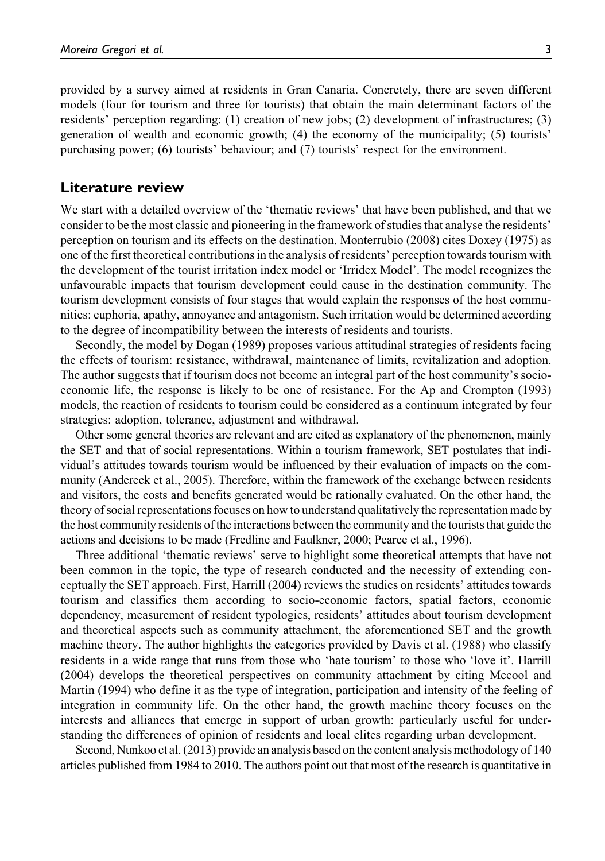provided by a survey aimed at residents in Gran Canaria. Concretely, there are seven different models (four for tourism and three for tourists) that obtain the main determinant factors of the residents' perception regarding: (1) creation of new jobs; (2) development of infrastructures; (3) generation of wealth and economic growth; (4) the economy of the municipality; (5) tourists' purchasing power; (6) tourists' behaviour; and (7) tourists' respect for the environment.

### **Literature review**

We start with a detailed overview of the 'thematic reviews' that have been published, and that we consider to be the most classic and pioneering in the framework of studies that analyse the residents' perception on tourism and its effects on the destination. Monterrubio (2008) cites Doxey (1975) as one of the first theoretical contributions in the analysis of residents' perception towards tourism with the development of the tourist irritation index model or 'Irridex Model'. The model recognizes the unfavourable impacts that tourism development could cause in the destination community. The tourism development consists of four stages that would explain the responses of the host communities: euphoria, apathy, annoyance and antagonism. Such irritation would be determined according to the degree of incompatibility between the interests of residents and tourists.

Secondly, the model by Dogan (1989) proposes various attitudinal strategies of residents facing the effects of tourism: resistance, withdrawal, maintenance of limits, revitalization and adoption. The author suggests that if tourism does not become an integral part of the host community's socioeconomic life, the response is likely to be one of resistance. For the Ap and Crompton (1993) models, the reaction of residents to tourism could be considered as a continuum integrated by four strategies: adoption, tolerance, adjustment and withdrawal.

Other some general theories are relevant and are cited as explanatory of the phenomenon, mainly the SET and that of social representations. Within a tourism framework, SET postulates that individual's attitudes towards tourism would be influenced by their evaluation of impacts on the community (Andereck et al., 2005). Therefore, within the framework of the exchange between residents and visitors, the costs and benefits generated would be rationally evaluated. On the other hand, the theory of social representations focuses on how to understand qualitatively the representation made by the host community residents of the interactions between the community and the tourists that guide the actions and decisions to be made (Fredline and Faulkner, 2000; Pearce et al., 1996).

Three additional 'thematic reviews' serve to highlight some theoretical attempts that have not been common in the topic, the type of research conducted and the necessity of extending conceptually the SET approach. First, Harrill (2004) reviews the studies on residents' attitudes towards tourism and classifies them according to socio-economic factors, spatial factors, economic dependency, measurement of resident typologies, residents' attitudes about tourism development and theoretical aspects such as community attachment, the aforementioned SET and the growth machine theory. The author highlights the categories provided by Davis et al. (1988) who classify residents in a wide range that runs from those who 'hate tourism' to those who 'love it'. Harrill (2004) develops the theoretical perspectives on community attachment by citing Mccool and Martin (1994) who define it as the type of integration, participation and intensity of the feeling of integration in community life. On the other hand, the growth machine theory focuses on the interests and alliances that emerge in support of urban growth: particularly useful for understanding the differences of opinion of residents and local elites regarding urban development.

Second, Nunkoo et al. (2013) provide an analysis based on the content analysis methodology of 140 articles published from 1984 to 2010. The authors point out that most of the research is quantitative in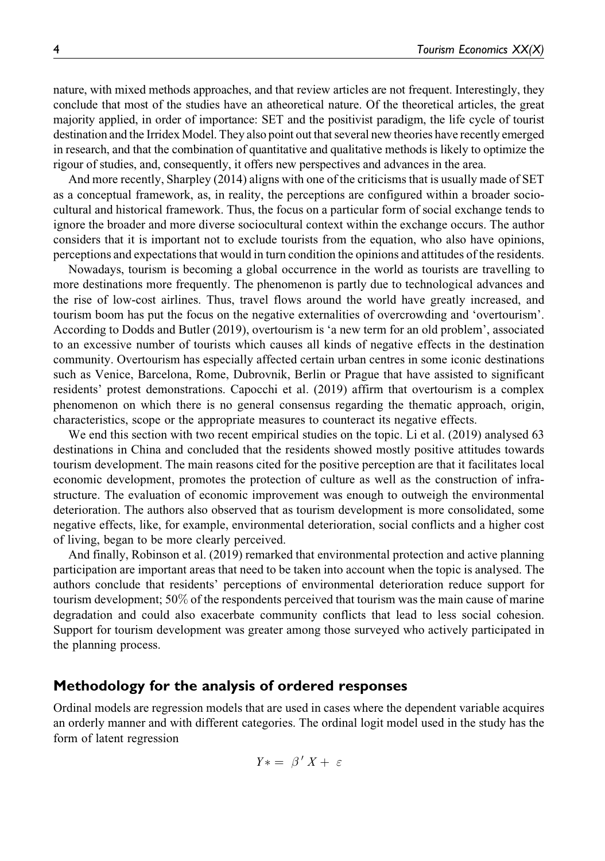nature, with mixed methods approaches, and that review articles are not frequent. Interestingly, they conclude that most of the studies have an atheoretical nature. Of the theoretical articles, the great majority applied, in order of importance: SET and the positivist paradigm, the life cycle of tourist destination and the Irridex Model. They also point out that several new theories have recently emerged in research, and that the combination of quantitative and qualitative methods is likely to optimize the rigour of studies, and, consequently, it offers new perspectives and advances in the area.

And more recently, Sharpley (2014) aligns with one of the criticisms that is usually made of SET as a conceptual framework, as, in reality, the perceptions are configured within a broader sociocultural and historical framework. Thus, the focus on a particular form of social exchange tends to ignore the broader and more diverse sociocultural context within the exchange occurs. The author considers that it is important not to exclude tourists from the equation, who also have opinions, perceptions and expectations that would in turn condition the opinions and attitudes of the residents.

Nowadays, tourism is becoming a global occurrence in the world as tourists are travelling to more destinations more frequently. The phenomenon is partly due to technological advances and the rise of low-cost airlines. Thus, travel flows around the world have greatly increased, and tourism boom has put the focus on the negative externalities of overcrowding and 'overtourism'. According to Dodds and Butler (2019), overtourism is 'a new term for an old problem', associated to an excessive number of tourists which causes all kinds of negative effects in the destination community. Overtourism has especially affected certain urban centres in some iconic destinations such as Venice, Barcelona, Rome, Dubrovnik, Berlin or Prague that have assisted to significant residents' protest demonstrations. Capocchi et al. (2019) affirm that overtourism is a complex phenomenon on which there is no general consensus regarding the thematic approach, origin, characteristics, scope or the appropriate measures to counteract its negative effects.

We end this section with two recent empirical studies on the topic. Li et al. (2019) analysed 63 destinations in China and concluded that the residents showed mostly positive attitudes towards tourism development. The main reasons cited for the positive perception are that it facilitates local economic development, promotes the protection of culture as well as the construction of infrastructure. The evaluation of economic improvement was enough to outweigh the environmental deterioration. The authors also observed that as tourism development is more consolidated, some negative effects, like, for example, environmental deterioration, social conflicts and a higher cost of living, began to be more clearly perceived.

And finally, Robinson et al. (2019) remarked that environmental protection and active planning participation are important areas that need to be taken into account when the topic is analysed. The authors conclude that residents' perceptions of environmental deterioration reduce support for tourism development; 50% of the respondents perceived that tourism was the main cause of marine degradation and could also exacerbate community conflicts that lead to less social cohesion. Support for tourism development was greater among those surveyed who actively participated in the planning process.

# **Methodology for the analysis of ordered responses**

Ordinal models are regression models that are used in cases where the dependent variable acquires an orderly manner and with different categories. The ordinal logit model used in the study has the form of latent regression

$$
Y* = \beta' X + \varepsilon
$$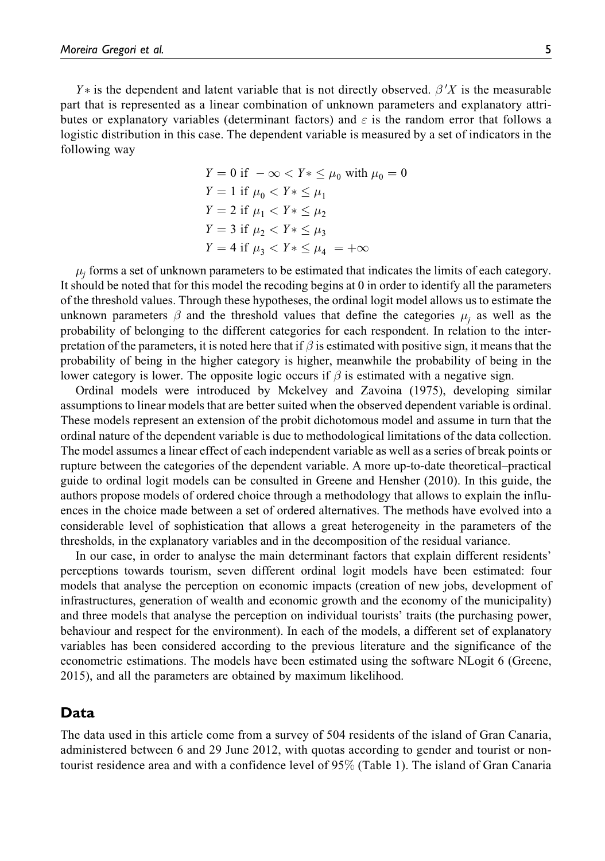$Y*$  is the dependent and latent variable that is not directly observed.  $\beta'X$  is the measurable part that is represented as a linear combination of unknown parameters and explanatory attributes or explanatory variables (determinant factors) and  $\varepsilon$  is the random error that follows a logistic distribution in this case. The dependent variable is measured by a set of indicators in the following way

$$
Y = 0 \text{ if } -\infty < Y * \le \mu_0 \text{ with } \mu_0 = 0
$$
\n
$$
Y = 1 \text{ if } \mu_0 < Y * \le \mu_1
$$
\n
$$
Y = 2 \text{ if } \mu_1 < Y * \le \mu_2
$$
\n
$$
Y = 3 \text{ if } \mu_2 < Y * \le \mu_3
$$
\n
$$
Y = 4 \text{ if } \mu_3 < Y * \le \mu_4 = +\infty
$$

 $\mu_j$  forms a set of unknown parameters to be estimated that indicates the limits of each category. It should be noted that for this model the recoding begins at 0 in order to identify all the parameters of the threshold values. Through these hypotheses, the ordinal logit model allows us to estimate the unknown parameters  $\beta$  and the threshold values that define the categories  $\mu_j$  as well as the probability of belonging to the different categories for each respondent. In relation to the interpretation of the parameters, it is noted here that if  $\beta$  is estimated with positive sign, it means that the probability of being in the higher category is higher, meanwhile the probability of being in the lower category is lower. The opposite logic occurs if  $\beta$  is estimated with a negative sign.

Ordinal models were introduced by Mckelvey and Zavoina (1975), developing similar assumptions to linear models that are better suited when the observed dependent variable is ordinal. These models represent an extension of the probit dichotomous model and assume in turn that the ordinal nature of the dependent variable is due to methodological limitations of the data collection. The model assumes a linear effect of each independent variable as well as a series of break points or rupture between the categories of the dependent variable. A more up-to-date theoretical–practical guide to ordinal logit models can be consulted in Greene and Hensher (2010). In this guide, the authors propose models of ordered choice through a methodology that allows to explain the influences in the choice made between a set of ordered alternatives. The methods have evolved into a considerable level of sophistication that allows a great heterogeneity in the parameters of the thresholds, in the explanatory variables and in the decomposition of the residual variance.

In our case, in order to analyse the main determinant factors that explain different residents' perceptions towards tourism, seven different ordinal logit models have been estimated: four models that analyse the perception on economic impacts (creation of new jobs, development of infrastructures, generation of wealth and economic growth and the economy of the municipality) and three models that analyse the perception on individual tourists' traits (the purchasing power, behaviour and respect for the environment). In each of the models, a different set of explanatory variables has been considered according to the previous literature and the significance of the econometric estimations. The models have been estimated using the software NLogit 6 (Greene, 2015), and all the parameters are obtained by maximum likelihood.

# **Data**

The data used in this article come from a survey of 504 residents of the island of Gran Canaria, administered between 6 and 29 June 2012, with quotas according to gender and tourist or nontourist residence area and with a confidence level of 95% (Table 1). The island of Gran Canaria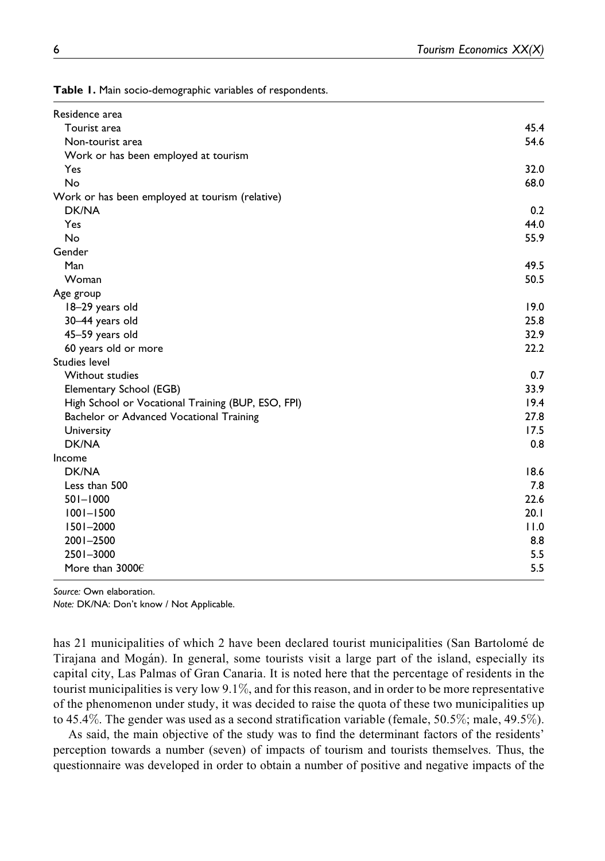| Residence area                                     |      |
|----------------------------------------------------|------|
| Tourist area                                       | 45.4 |
| Non-tourist area                                   | 54.6 |
| Work or has been employed at tourism               |      |
| Yes                                                | 32.0 |
| <b>No</b>                                          | 68.0 |
| Work or has been employed at tourism (relative)    |      |
| DK/NA                                              | 0.2  |
| Yes                                                | 44.0 |
| <b>No</b>                                          | 55.9 |
| Gender                                             |      |
| Man                                                | 49.5 |
| Woman                                              | 50.5 |
| Age group                                          |      |
| 18-29 years old                                    | 19.0 |
| 30-44 years old                                    | 25.8 |
| 45-59 years old                                    | 32.9 |
| 60 years old or more                               | 22.2 |
| <b>Studies level</b>                               |      |
| Without studies                                    | 0.7  |
| Elementary School (EGB)                            | 33.9 |
| High School or Vocational Training (BUP, ESO, FPI) | 19.4 |
| Bachelor or Advanced Vocational Training           | 27.8 |
| University                                         | 17.5 |
| DK/NA                                              | 0.8  |
| Income                                             |      |
| DK/NA                                              | 18.6 |
| Less than 500                                      | 7.8  |
| $501 - 1000$                                       | 22.6 |
| $1001 - 1500$                                      | 20.1 |
| $1501 - 2000$                                      | 11.0 |
| 2001-2500                                          | 8.8  |
| 2501-3000                                          | 5.5  |
| More than $3000 \in$                               | 5.5  |

**Table 1.** Main socio-demographic variables of respondents.

*Note:* DK/NA: Don't know / Not Applicable.

has 21 municipalities of which 2 have been declared tourist municipalities (San Bartolomé de Tirajana and Mogán). In general, some tourists visit a large part of the island, especially its capital city, Las Palmas of Gran Canaria. It is noted here that the percentage of residents in the tourist municipalities is very low 9.1%, and for this reason, and in order to be more representative of the phenomenon under study, it was decided to raise the quota of these two municipalities up to 45.4%. The gender was used as a second stratification variable (female, 50.5%; male, 49.5%).

As said, the main objective of the study was to find the determinant factors of the residents' perception towards a number (seven) of impacts of tourism and tourists themselves. Thus, the questionnaire was developed in order to obtain a number of positive and negative impacts of the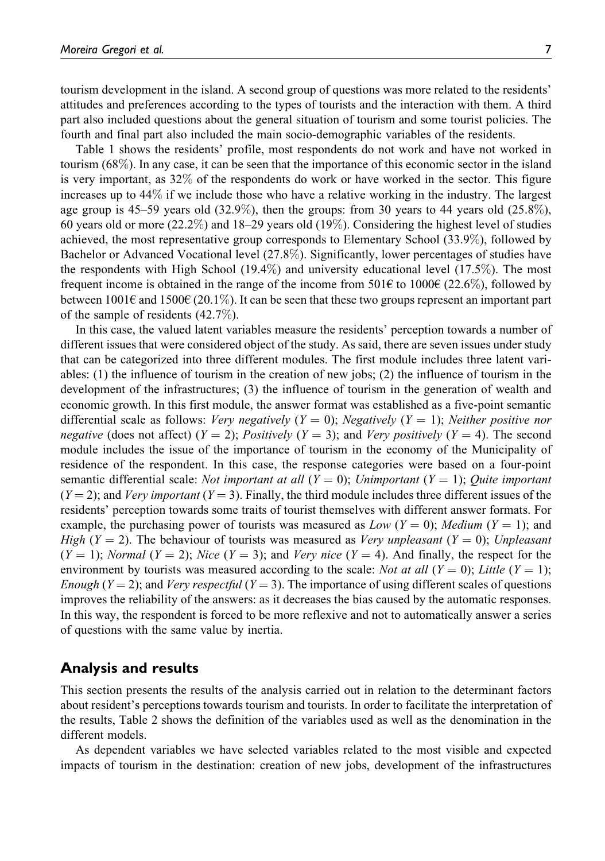tourism development in the island. A second group of questions was more related to the residents' attitudes and preferences according to the types of tourists and the interaction with them. A third part also included questions about the general situation of tourism and some tourist policies. The fourth and final part also included the main socio-demographic variables of the residents.

Table 1 shows the residents' profile, most respondents do not work and have not worked in tourism (68%). In any case, it can be seen that the importance of this economic sector in the island is very important, as 32% of the respondents do work or have worked in the sector. This figure increases up to 44% if we include those who have a relative working in the industry. The largest age group is  $45-59$  years old  $(32.9\%)$ , then the groups: from 30 years to  $44$  years old  $(25.8\%)$ , 60 years old or more (22.2%) and 18–29 years old (19%). Considering the highest level of studies achieved, the most representative group corresponds to Elementary School (33.9%), followed by Bachelor or Advanced Vocational level (27.8%). Significantly, lower percentages of studies have the respondents with High School (19.4%) and university educational level (17.5%). The most frequent income is obtained in the range of the income from 501€ to 1000€ (22.6%), followed by between  $1001\epsilon$  and  $1500\epsilon$  (20.1%). It can be seen that these two groups represent an important part of the sample of residents (42.7%).

In this case, the valued latent variables measure the residents' perception towards a number of different issues that were considered object of the study. As said, there are seven issues under study that can be categorized into three different modules. The first module includes three latent variables: (1) the influence of tourism in the creation of new jobs; (2) the influence of tourism in the development of the infrastructures; (3) the influence of tourism in the generation of wealth and economic growth. In this first module, the answer format was established as a five-point semantic differential scale as follows: Very negatively  $(Y = 0)$ ; Negatively  $(Y = 1)$ ; Neither positive nor negative (does not affect)  $(Y = 2)$ ; Positively  $(Y = 3)$ ; and Very positively  $(Y = 4)$ . The second module includes the issue of the importance of tourism in the economy of the Municipality of residence of the respondent. In this case, the response categories were based on a four-point semantic differential scale: Not important at all  $(Y = 0)$ ; Unimportant  $(Y = 1)$ ; Quite important  $(Y = 2)$ ; and *Very important*  $(Y = 3)$ . Finally, the third module includes three different issues of the residents' perception towards some traits of tourist themselves with different answer formats. For example, the purchasing power of tourists was measured as  $Low (Y = 0)$ ; Medium ( $Y = 1$ ); and High (Y = 2). The behaviour of tourists was measured as Very unpleasant (Y = 0); Unpleasant  $(Y = 1)$ ; Normal  $(Y = 2)$ ; Nice  $(Y = 3)$ ; and Very nice  $(Y = 4)$ . And finally, the respect for the environment by tourists was measured according to the scale: Not at all  $(Y = 0)$ ; Little  $(Y = 1)$ ; *Enough* ( $Y = 2$ ); and *Very respectful* ( $Y = 3$ ). The importance of using different scales of questions improves the reliability of the answers: as it decreases the bias caused by the automatic responses. In this way, the respondent is forced to be more reflexive and not to automatically answer a series of questions with the same value by inertia.

# **Analysis and results**

This section presents the results of the analysis carried out in relation to the determinant factors about resident's perceptions towards tourism and tourists. In order to facilitate the interpretation of the results, Table 2 shows the definition of the variables used as well as the denomination in the different models.

As dependent variables we have selected variables related to the most visible and expected impacts of tourism in the destination: creation of new jobs, development of the infrastructures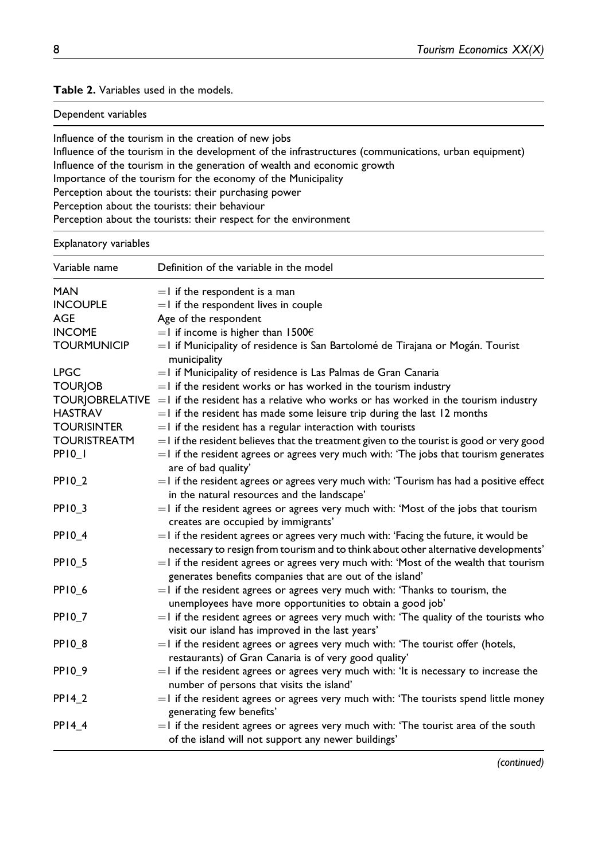### **Table 2.** Variables used in the models.

#### Dependent variables

Influence of the tourism in the creation of new jobs Influence of the tourism in the development of the infrastructures (communications, urban equipment) Influence of the tourism in the generation of wealth and economic growth Importance of the tourism for the economy of the Municipality Perception about the tourists: their purchasing power Perception about the tourists: their behaviour Perception about the tourists: their respect for the environment

#### Explanatory variables

| Variable name       | Definition of the variable in the model                                                                                                                                       |
|---------------------|-------------------------------------------------------------------------------------------------------------------------------------------------------------------------------|
| <b>MAN</b>          | $=$ I if the respondent is a man                                                                                                                                              |
| <b>INCOUPLE</b>     | $=$ I if the respondent lives in couple                                                                                                                                       |
| AGE                 | Age of the respondent                                                                                                                                                         |
| <b>INCOME</b>       | =1 if income is higher than $1500\varepsilon$                                                                                                                                 |
| <b>TOURMUNICIP</b>  | =1 if Municipality of residence is San Bartolomé de Tirajana or Mogán. Tourist<br>municipality                                                                                |
| <b>LPGC</b>         | =1 if Municipality of residence is Las Palmas de Gran Canaria                                                                                                                 |
| <b>TOURJOB</b>      | $=$ I if the resident works or has worked in the tourism industry                                                                                                             |
|                     | TOURJOBRELATIVE = I if the resident has a relative who works or has worked in the tourism industry                                                                            |
| <b>HASTRAV</b>      | $=$ I if the resident has made some leisure trip during the last 12 months                                                                                                    |
| <b>TOURISINTER</b>  | $=$ I if the resident has a regular interaction with tourists                                                                                                                 |
| <b>TOURISTREATM</b> | $=$ I if the resident believes that the treatment given to the tourist is good or very good                                                                                   |
| PPIO_I              | $=$ I if the resident agrees or agrees very much with: 'The jobs that tourism generates<br>are of bad quality'                                                                |
| <b>PPIO 2</b>       | $=$ I if the resident agrees or agrees very much with: 'Tourism has had a positive effect<br>in the natural resources and the landscape'                                      |
| <b>PP10 3</b>       | $=$ I if the resident agrees or agrees very much with: 'Most of the jobs that tourism<br>creates are occupied by immigrants'                                                  |
| PP10_4              | $=$ I if the resident agrees or agrees very much with: 'Facing the future, it would be<br>necessary to resign from tourism and to think about other alternative developments' |
| PP10_5              | $=$ I if the resident agrees or agrees very much with: 'Most of the wealth that tourism<br>generates benefits companies that are out of the island'                           |
| PP10_6              | $=$ I if the resident agrees or agrees very much with: 'Thanks to tourism, the<br>unemployees have more opportunities to obtain a good job'                                   |
| PP10_7              | $=$ I if the resident agrees or agrees very much with: 'The quality of the tourists who<br>visit our island has improved in the last years'                                   |
| PP10_8              | $=$ I if the resident agrees or agrees very much with: 'The tourist offer (hotels,<br>restaurants) of Gran Canaria is of very good quality'                                   |
| PP10 <sub>9</sub>   | $=$ I if the resident agrees or agrees very much with: 'It is necessary to increase the<br>number of persons that visits the island'                                          |
| PP14_2              | $=$ I if the resident agrees or agrees very much with: 'The tourists spend little money<br>generating few benefits'                                                           |
| PP14_4              | $=$ I if the resident agrees or agrees very much with: 'The tourist area of the south<br>of the island will not support any newer buildings'                                  |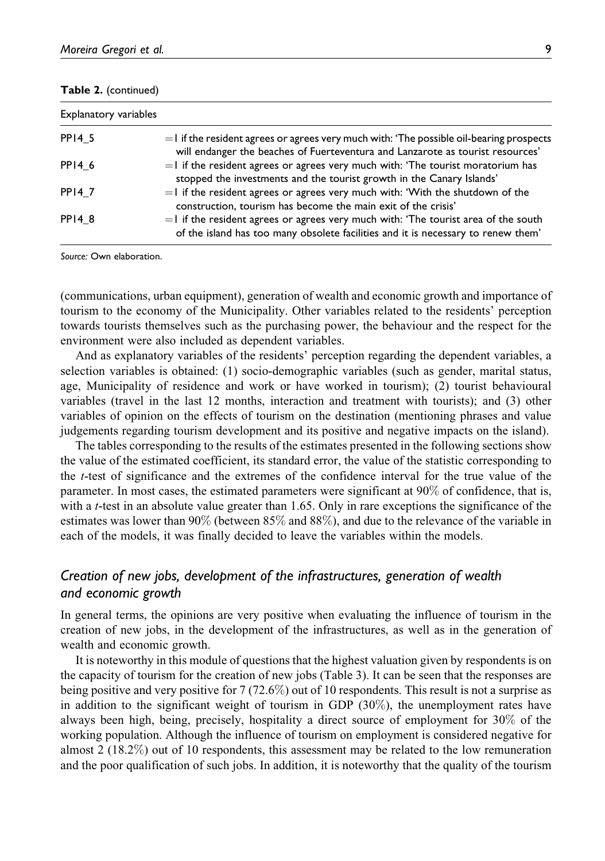| Table 2. (continued) |  |
|----------------------|--|
|----------------------|--|

|              | Explanatory variables                                                                                                                                                        |  |  |  |  |  |
|--------------|------------------------------------------------------------------------------------------------------------------------------------------------------------------------------|--|--|--|--|--|
| PP14 5       | $=$ l if the resident agrees or agrees very much with: 'The possible oil-bearing prospects<br>will endanger the beaches of Fuerteventura and Lanzarote as tourist resources' |  |  |  |  |  |
| PP14 6       | $=$ I if the resident agrees or agrees very much with: 'The tourist moratorium has<br>stopped the investments and the tourist growth in the Canary Islands'                  |  |  |  |  |  |
| <b>PP147</b> | $=$ I if the resident agrees or agrees very much with: 'With the shutdown of the<br>construction, tourism has become the main exit of the crisis'                            |  |  |  |  |  |
| <b>PP148</b> | $=$ I if the resident agrees or agrees very much with: 'The tourist area of the south<br>of the island has too many obsolete facilities and it is necessary to renew them'   |  |  |  |  |  |

(communications, urban equipment), generation of wealth and economic growth and importance of tourism to the economy of the Municipality. Other variables related to the residents' perception towards tourists themselves such as the purchasing power, the behaviour and the respect for the environment were also included as dependent variables.

And as explanatory variables of the residents' perception regarding the dependent variables, a selection variables is obtained: (1) socio-demographic variables (such as gender, marital status, age, Municipality of residence and work or have worked in tourism); (2) tourist behavioural variables (travel in the last 12 months, interaction and treatment with tourists); and (3) other variables of opinion on the effects of tourism on the destination (mentioning phrases and value judgements regarding tourism development and its positive and negative impacts on the island).

The tables corresponding to the results of the estimates presented in the following sections show the value of the estimated coefficient, its standard error, the value of the statistic corresponding to the t-test of significance and the extremes of the confidence interval for the true value of the parameter. In most cases, the estimated parameters were significant at 90% of confidence, that is, with a t-test in an absolute value greater than 1.65. Only in rare exceptions the significance of the estimates was lower than 90% (between 85% and 88%), and due to the relevance of the variable in each of the models, it was finally decided to leave the variables within the models.

# *Creation of new jobs, development of the infrastructures, generation of wealth and economic growth*

In general terms, the opinions are very positive when evaluating the influence of tourism in the creation of new jobs, in the development of the infrastructures, as well as in the generation of wealth and economic growth.

It is noteworthy in this module of questions that the highest valuation given by respondents is on the capacity of tourism for the creation of new jobs (Table 3). It can be seen that the responses are being positive and very positive for 7 (72.6%) out of 10 respondents. This result is not a surprise as in addition to the significant weight of tourism in GDP (30%), the unemployment rates have always been high, being, precisely, hospitality a direct source of employment for 30% of the working population. Although the influence of tourism on employment is considered negative for almost 2 (18.2%) out of 10 respondents, this assessment may be related to the low remuneration and the poor qualification of such jobs. In addition, it is noteworthy that the quality of the tourism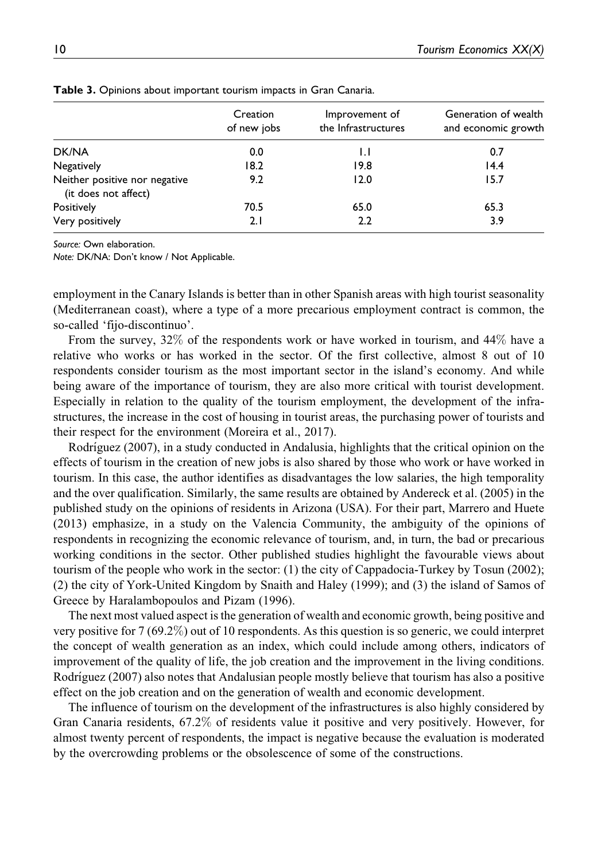|                                                       | Creation<br>of new jobs | Improvement of<br>the Infrastructures | Generation of wealth<br>and economic growth |
|-------------------------------------------------------|-------------------------|---------------------------------------|---------------------------------------------|
| DK/NA                                                 | 0.0                     | L.                                    | 0.7                                         |
| Negatively                                            | 18.2                    | 19.8                                  | 14.4                                        |
| Neither positive nor negative<br>(it does not affect) | 9.2                     | 12.0                                  | 15.7                                        |
| Positively                                            | 70.5                    | 65.0                                  | 65.3                                        |
| Very positively                                       | 2.1                     | 2.2                                   | 3.9                                         |

**Table 3.** Opinions about important tourism impacts in Gran Canaria.

*Note:* DK/NA: Don't know / Not Applicable.

employment in the Canary Islands is better than in other Spanish areas with high tourist seasonality (Mediterranean coast), where a type of a more precarious employment contract is common, the so-called 'fijo-discontinuo'.

From the survey, 32% of the respondents work or have worked in tourism, and 44% have a relative who works or has worked in the sector. Of the first collective, almost 8 out of 10 respondents consider tourism as the most important sector in the island's economy. And while being aware of the importance of tourism, they are also more critical with tourist development. Especially in relation to the quality of the tourism employment, the development of the infrastructures, the increase in the cost of housing in tourist areas, the purchasing power of tourists and their respect for the environment (Moreira et al., 2017).

Rodríguez (2007), in a study conducted in Andalusia, highlights that the critical opinion on the effects of tourism in the creation of new jobs is also shared by those who work or have worked in tourism. In this case, the author identifies as disadvantages the low salaries, the high temporality and the over qualification. Similarly, the same results are obtained by Andereck et al. (2005) in the published study on the opinions of residents in Arizona (USA). For their part, Marrero and Huete (2013) emphasize, in a study on the Valencia Community, the ambiguity of the opinions of respondents in recognizing the economic relevance of tourism, and, in turn, the bad or precarious working conditions in the sector. Other published studies highlight the favourable views about tourism of the people who work in the sector: (1) the city of Cappadocia-Turkey by Tosun (2002); (2) the city of York-United Kingdom by Snaith and Haley (1999); and (3) the island of Samos of Greece by Haralambopoulos and Pizam (1996).

The next most valued aspect is the generation of wealth and economic growth, being positive and very positive for 7 (69.2%) out of 10 respondents. As this question is so generic, we could interpret the concept of wealth generation as an index, which could include among others, indicators of improvement of the quality of life, the job creation and the improvement in the living conditions. Rodríguez (2007) also notes that Andalusian people mostly believe that tourism has also a positive effect on the job creation and on the generation of wealth and economic development.

The influence of tourism on the development of the infrastructures is also highly considered by Gran Canaria residents, 67.2% of residents value it positive and very positively. However, for almost twenty percent of respondents, the impact is negative because the evaluation is moderated by the overcrowding problems or the obsolescence of some of the constructions.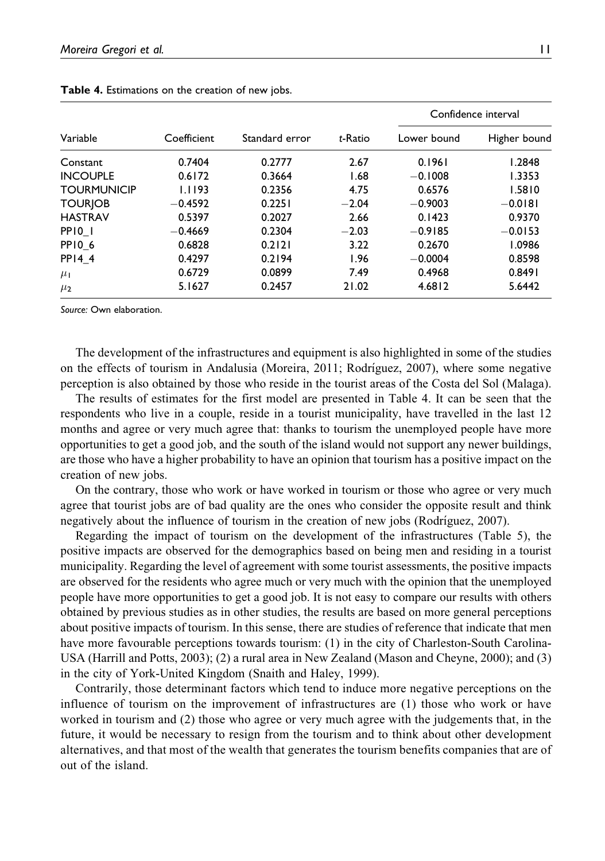|                    |             | Standard error |         | Confidence interval |              |
|--------------------|-------------|----------------|---------|---------------------|--------------|
| Variable           | Coefficient |                | t-Ratio | Lower bound         | Higher bound |
| Constant           | 0.7404      | 0.2777         | 2.67    | 0.1961              | 1.2848       |
| <b>INCOUPLE</b>    | 0.6172      | 0.3664         | 1.68    | $-0.1008$           | 1.3353       |
| <b>TOURMUNICIP</b> | 1.1193      | 0.2356         | 4.75    | 0.6576              | 1.5810       |
| <b>TOURIOB</b>     | $-0.4592$   | 0.2251         | $-2.04$ | $-0.9003$           | $-0.0181$    |
| <b>HASTRAV</b>     | 0.5397      | 0.2027         | 2.66    | 0.1423              | 0.9370       |
| PPIO <sub>I</sub>  | $-0.4669$   | 0.2304         | $-2.03$ | $-0.9185$           | $-0.0153$    |
| <b>PP10 6</b>      | 0.6828      | 0.2121         | 3.22    | 0.2670              | 1.0986       |
| <b>PP14 4</b>      | 0.4297      | 0.2194         | 1.96    | $-0.0004$           | 0.8598       |
| $\mu_{\rm I}$      | 0.6729      | 0.0899         | 7.49    | 0.4968              | 0.8491       |
| $\mu_2$            | 5.1627      | 0.2457         | 21.02   | 4.6812              | 5.6442       |

**Table 4.** Estimations on the creation of new jobs.

The development of the infrastructures and equipment is also highlighted in some of the studies on the effects of tourism in Andalusia (Moreira, 2011; Rodríguez, 2007), where some negative perception is also obtained by those who reside in the tourist areas of the Costa del Sol (Malaga).

The results of estimates for the first model are presented in Table 4. It can be seen that the respondents who live in a couple, reside in a tourist municipality, have travelled in the last 12 months and agree or very much agree that: thanks to tourism the unemployed people have more opportunities to get a good job, and the south of the island would not support any newer buildings, are those who have a higher probability to have an opinion that tourism has a positive impact on the creation of new jobs.

On the contrary, those who work or have worked in tourism or those who agree or very much agree that tourist jobs are of bad quality are the ones who consider the opposite result and think negatively about the influence of tourism in the creation of new jobs (Rodríguez, 2007).

Regarding the impact of tourism on the development of the infrastructures (Table 5), the positive impacts are observed for the demographics based on being men and residing in a tourist municipality. Regarding the level of agreement with some tourist assessments, the positive impacts are observed for the residents who agree much or very much with the opinion that the unemployed people have more opportunities to get a good job. It is not easy to compare our results with others obtained by previous studies as in other studies, the results are based on more general perceptions about positive impacts of tourism. In this sense, there are studies of reference that indicate that men have more favourable perceptions towards tourism: (1) in the city of Charleston-South Carolina-USA (Harrill and Potts, 2003); (2) a rural area in New Zealand (Mason and Cheyne, 2000); and (3) in the city of York-United Kingdom (Snaith and Haley, 1999).

Contrarily, those determinant factors which tend to induce more negative perceptions on the influence of tourism on the improvement of infrastructures are (1) those who work or have worked in tourism and (2) those who agree or very much agree with the judgements that, in the future, it would be necessary to resign from the tourism and to think about other development alternatives, and that most of the wealth that generates the tourism benefits companies that are of out of the island.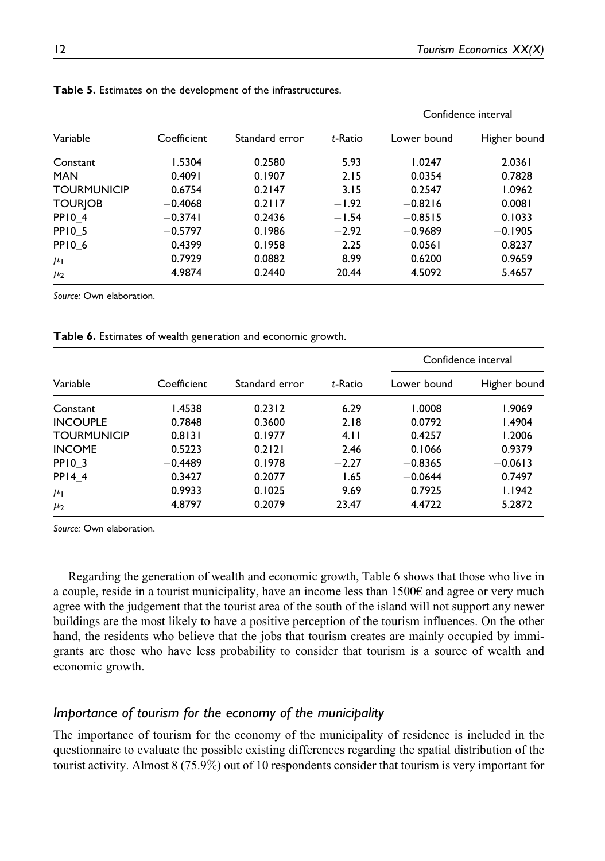|                    |             |                | t-Ratio | Confidence interval |              |
|--------------------|-------------|----------------|---------|---------------------|--------------|
| Variable           | Coefficient | Standard error |         | Lower bound         | Higher bound |
| Constant           | 1.5304      | 0.2580         | 5.93    | 1.0247              | 2.0361       |
| <b>MAN</b>         | 0.4091      | 0.1907         | 2.15    | 0.0354              | 0.7828       |
| <b>TOURMUNICIP</b> | 0.6754      | 0.2147         | 3.15    | 0.2547              | 1.0962       |
| <b>TOURJOB</b>     | $-0.4068$   | 0.2117         | $-1.92$ | $-0.8216$           | 0.0081       |
| <b>PPIO 4</b>      | $-0.3741$   | 0.2436         | $-1.54$ | $-0.8515$           | 0.1033       |
| <b>PPIO 5</b>      | $-0.5797$   | 0.1986         | $-2.92$ | $-0.9689$           | $-0.1905$    |
| PPIO <sub>6</sub>  | 0.4399      | 0.1958         | 2.25    | 0.0561              | 0.8237       |
| $\mu_{\rm I}$      | 0.7929      | 0.0882         | 8.99    | 0.6200              | 0.9659       |
| $\mu_2$            | 4.9874      | 0.2440         | 20.44   | 4.5092              | 5.4657       |

**Table 5.** Estimates on the development of the infrastructures.

**Table 6.** Estimates of wealth generation and economic growth.

| Variable           |             |                |         | Confidence interval |              |
|--------------------|-------------|----------------|---------|---------------------|--------------|
|                    | Coefficient | Standard error | t-Ratio | Lower bound         | Higher bound |
| Constant           | l.4538      | 0.2312         | 6.29    | 1.0008              | 1.9069       |
| <b>INCOUPLE</b>    | 0.7848      | 0.3600         | 2.18    | 0.0792              | 1.4904       |
| <b>TOURMUNICIP</b> | 0.8131      | 0.1977         | 4.11    | 0.4257              | 1.2006       |
| <b>INCOME</b>      | 0.5223      | 0.2121         | 2.46    | 0.1066              | 0.9379       |
| <b>PPIO 3</b>      | $-0.4489$   | 0.1978         | $-2.27$ | $-0.8365$           | $-0.0613$    |
| <b>PP14 4</b>      | 0.3427      | 0.2077         | 1.65    | $-0.0644$           | 0.7497       |
| $\mu_{\rm I}$      | 0.9933      | 0.1025         | 9.69    | 0.7925              | 1.1942       |
| $\mu_2$            | 4.8797      | 0.2079         | 23.47   | 4.4722              | 5.2872       |

*Source:* Own elaboration.

Regarding the generation of wealth and economic growth, Table 6 shows that those who live in a couple, reside in a tourist municipality, have an income less than 1500€ and agree or very much agree with the judgement that the tourist area of the south of the island will not support any newer buildings are the most likely to have a positive perception of the tourism influences. On the other hand, the residents who believe that the jobs that tourism creates are mainly occupied by immigrants are those who have less probability to consider that tourism is a source of wealth and economic growth.

# *Importance of tourism for the economy of the municipality*

The importance of tourism for the economy of the municipality of residence is included in the questionnaire to evaluate the possible existing differences regarding the spatial distribution of the tourist activity. Almost 8 (75.9%) out of 10 respondents consider that tourism is very important for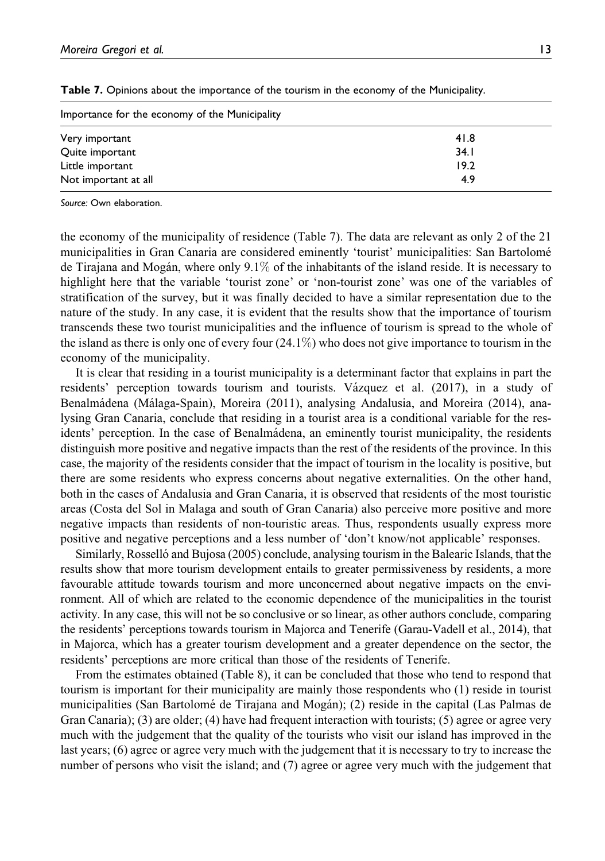| Importance for the economy of the Municipality |      |  |  |
|------------------------------------------------|------|--|--|
| Very important                                 | 41.8 |  |  |
| Quite important                                | 34.1 |  |  |
| Little important                               | 19.2 |  |  |
| Not important at all                           | 4.9  |  |  |

**Table 7.** Opinions about the importance of the tourism in the economy of the Municipality.

the economy of the municipality of residence (Table 7). The data are relevant as only 2 of the 21 municipalities in Gran Canaria are considered eminently 'tourist' municipalities: San Bartolomé de Tirajana and Mogán, where only  $9.1\%$  of the inhabitants of the island reside. It is necessary to highlight here that the variable 'tourist zone' or 'non-tourist zone' was one of the variables of stratification of the survey, but it was finally decided to have a similar representation due to the nature of the study. In any case, it is evident that the results show that the importance of tourism transcends these two tourist municipalities and the influence of tourism is spread to the whole of the island as there is only one of every four  $(24.1\%)$  who does not give importance to tourism in the economy of the municipality.

It is clear that residing in a tourist municipality is a determinant factor that explains in part the residents' perception towards tourism and tourists. Vázquez et al. (2017), in a study of Benalmádena (Málaga-Spain), Moreira (2011), analysing Andalusia, and Moreira (2014), analysing Gran Canaria, conclude that residing in a tourist area is a conditional variable for the residents' perception. In the case of Benalmádena, an eminently tourist municipality, the residents distinguish more positive and negative impacts than the rest of the residents of the province. In this case, the majority of the residents consider that the impact of tourism in the locality is positive, but there are some residents who express concerns about negative externalities. On the other hand, both in the cases of Andalusia and Gran Canaria, it is observed that residents of the most touristic areas (Costa del Sol in Malaga and south of Gran Canaria) also perceive more positive and more negative impacts than residents of non-touristic areas. Thus, respondents usually express more positive and negative perceptions and a less number of 'don't know/not applicable' responses.

Similarly, Rosselló and Bujosa (2005) conclude, analysing tourism in the Balearic Islands, that the results show that more tourism development entails to greater permissiveness by residents, a more favourable attitude towards tourism and more unconcerned about negative impacts on the environment. All of which are related to the economic dependence of the municipalities in the tourist activity. In any case, this will not be so conclusive or so linear, as other authors conclude, comparing the residents' perceptions towards tourism in Majorca and Tenerife (Garau-Vadell et al., 2014), that in Majorca, which has a greater tourism development and a greater dependence on the sector, the residents' perceptions are more critical than those of the residents of Tenerife.

From the estimates obtained (Table 8), it can be concluded that those who tend to respond that tourism is important for their municipality are mainly those respondents who (1) reside in tourist municipalities (San Bartolomé de Tirajana and Mogán); (2) reside in the capital (Las Palmas de Gran Canaria); (3) are older; (4) have had frequent interaction with tourists; (5) agree or agree very much with the judgement that the quality of the tourists who visit our island has improved in the last years; (6) agree or agree very much with the judgement that it is necessary to try to increase the number of persons who visit the island; and (7) agree or agree very much with the judgement that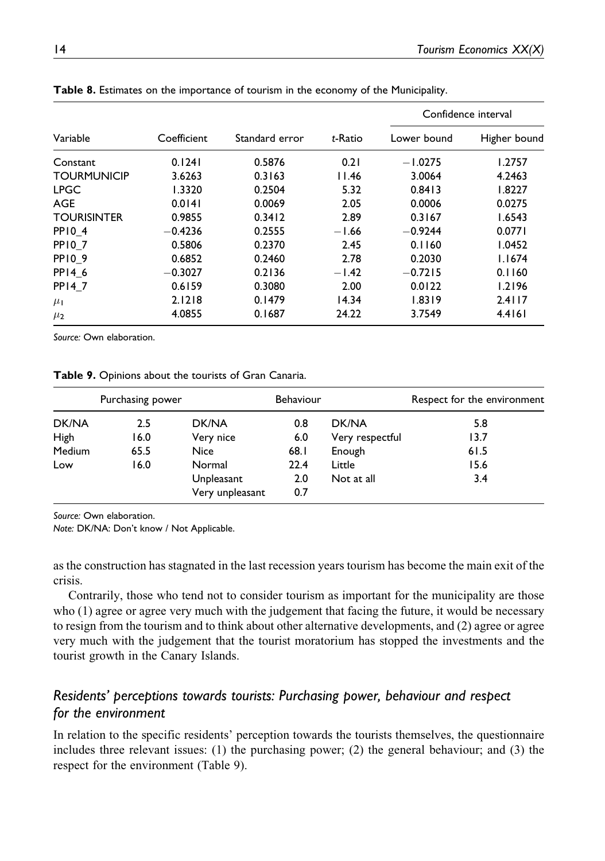|                    |             |                |         | Confidence interval |              |
|--------------------|-------------|----------------|---------|---------------------|--------------|
| Variable           | Coefficient | Standard error | t-Ratio | Lower bound         | Higher bound |
| Constant           | 0.1241      | 0.5876         | 0.21    | $-1.0275$           | 1.2757       |
| <b>TOURMUNICIP</b> | 3.6263      | 0.3163         | 11.46   | 3.0064              | 4.2463       |
| <b>LPGC</b>        | 1.3320      | 0.2504         | 5.32    | 0.8413              | 1.8227       |
| AGE                | 0.0141      | 0.0069         | 2.05    | 0.0006              | 0.0275       |
| <b>TOURISINTER</b> | 0.9855      | 0.3412         | 2.89    | 0.3167              | 1.6543       |
| <b>PPIO 4</b>      | $-0.4236$   | 0.2555         | $-1.66$ | $-0.9244$           | 0.0771       |
| <b>PPIO 7</b>      | 0.5806      | 0.2370         | 2.45    | 0.1160              | 1.0452       |
| <b>PP109</b>       | 0.6852      | 0.2460         | 2.78    | 0.2030              | 1.1674       |
| PP14 6             | $-0.3027$   | 0.2136         | $-1.42$ | $-0.7215$           | 0.1160       |
| <b>PP147</b>       | 0.6159      | 0.3080         | 2.00    | 0.0122              | 1.2196       |
| $\mu_{\rm I}$      | 2.1218      | 0.1479         | 14.34   | 1.8319              | 2.4117       |
| $\mu_2$            | 4.0855      | 0.1687         | 24.22   | 3.7549              | 4.4161       |

**Table 8.** Estimates on the importance of tourism in the economy of the Municipality.

**Table 9.** Opinions about the tourists of Gran Canaria.

|        | Purchasing power |                               | <b>Behaviour</b> |                 | Respect for the environment |
|--------|------------------|-------------------------------|------------------|-----------------|-----------------------------|
| DK/NA  | 2.5              | DK/NA                         | 0.8              | DK/NA           | 5.8                         |
| High   | 16.0             | Very nice                     | 6.0              | Very respectful | 13.7                        |
| Medium | 65.5             | Nice                          | 68.I             | Enough          | 61.5                        |
| Low    | 16.0             | Normal                        | 22.4             | Little          | 15.6                        |
|        |                  | Unpleasant<br>Very unpleasant | 2.0<br>0.7       | Not at all      | 3.4                         |

*Source:* Own elaboration.

*Note:* DK/NA: Don't know / Not Applicable.

as the construction has stagnated in the last recession years tourism has become the main exit of the crisis.

Contrarily, those who tend not to consider tourism as important for the municipality are those who (1) agree or agree very much with the judgement that facing the future, it would be necessary to resign from the tourism and to think about other alternative developments, and (2) agree or agree very much with the judgement that the tourist moratorium has stopped the investments and the tourist growth in the Canary Islands.

# *Residents' perceptions towards tourists: Purchasing power, behaviour and respect for the environment*

In relation to the specific residents' perception towards the tourists themselves, the questionnaire includes three relevant issues: (1) the purchasing power; (2) the general behaviour; and (3) the respect for the environment (Table 9).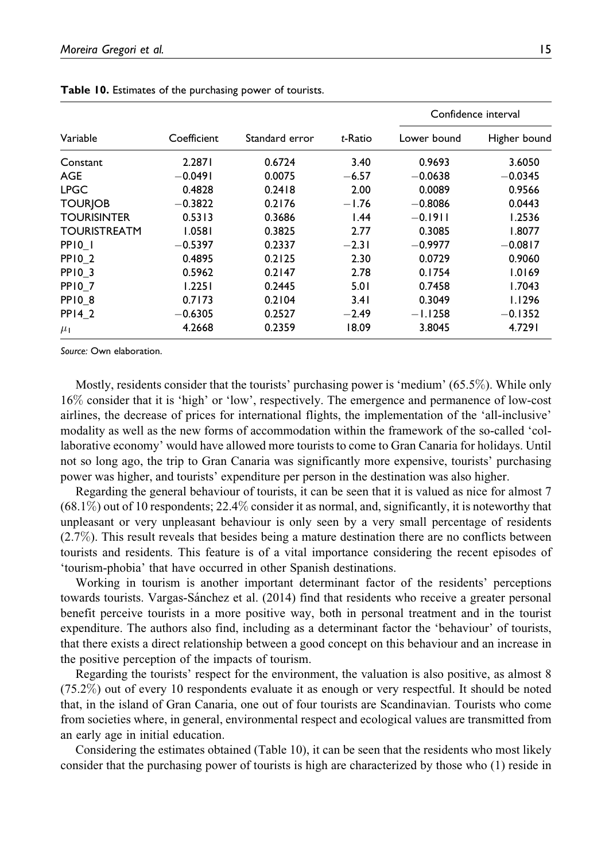|                     |             | Standard error | t-Ratio | Confidence interval |              |
|---------------------|-------------|----------------|---------|---------------------|--------------|
| Variable            | Coefficient |                |         | Lower bound         | Higher bound |
| Constant            | 2.2871      | 0.6724         | 3.40    | 0.9693              | 3.6050       |
| AGE                 | $-0.0491$   | 0.0075         | $-6.57$ | $-0.0638$           | $-0.0345$    |
| <b>LPGC</b>         | 0.4828      | 0.2418         | 2.00    | 0.0089              | 0.9566       |
| <b>TOURIOB</b>      | $-0.3822$   | 0.2176         | $-1.76$ | $-0.8086$           | 0.0443       |
| <b>TOURISINTER</b>  | 0.5313      | 0.3686         | 1.44    | $-0.1911$           | 1.2536       |
| <b>TOURISTREATM</b> | 1.0581      | 0.3825         | 2.77    | 0.3085              | 1.8077       |
| PPIO <sub>I</sub>   | $-0.5397$   | 0.2337         | $-2.31$ | $-0.9977$           | $-0.0817$    |
| <b>PP10 2</b>       | 0.4895      | 0.2125         | 2.30    | 0.0729              | 0.9060       |
| <b>PP103</b>        | 0.5962      | 0.2147         | 2.78    | 0.1754              | 1.0169       |
| <b>PP107</b>        | 1.2251      | 0.2445         | 5.01    | 0.7458              | 1.7043       |
| <b>PP108</b>        | 0.7173      | 0.2104         | 3.41    | 0.3049              | 1.1296       |
| <b>PP14 2</b>       | $-0.6305$   | 0.2527         | $-2.49$ | $-1.1258$           | $-0.1352$    |
| $\mu_{\rm I}$       | 4.2668      | 0.2359         | 18.09   | 3.8045              | 4.7291       |

**Table 10.** Estimates of the purchasing power of tourists.

Mostly, residents consider that the tourists' purchasing power is 'medium' (65.5%). While only 16% consider that it is 'high' or 'low', respectively. The emergence and permanence of low-cost airlines, the decrease of prices for international flights, the implementation of the 'all-inclusive' modality as well as the new forms of accommodation within the framework of the so-called 'collaborative economy' would have allowed more tourists to come to Gran Canaria for holidays. Until not so long ago, the trip to Gran Canaria was significantly more expensive, tourists' purchasing power was higher, and tourists' expenditure per person in the destination was also higher.

Regarding the general behaviour of tourists, it can be seen that it is valued as nice for almost 7 (68.1%) out of 10 respondents; 22.4% consider it as normal, and, significantly, it is noteworthy that unpleasant or very unpleasant behaviour is only seen by a very small percentage of residents (2.7%). This result reveals that besides being a mature destination there are no conflicts between tourists and residents. This feature is of a vital importance considering the recent episodes of 'tourism-phobia' that have occurred in other Spanish destinations.

Working in tourism is another important determinant factor of the residents' perceptions towards tourists. Vargas-Sánchez et al. (2014) find that residents who receive a greater personal benefit perceive tourists in a more positive way, both in personal treatment and in the tourist expenditure. The authors also find, including as a determinant factor the 'behaviour' of tourists, that there exists a direct relationship between a good concept on this behaviour and an increase in the positive perception of the impacts of tourism.

Regarding the tourists' respect for the environment, the valuation is also positive, as almost 8 (75.2%) out of every 10 respondents evaluate it as enough or very respectful. It should be noted that, in the island of Gran Canaria, one out of four tourists are Scandinavian. Tourists who come from societies where, in general, environmental respect and ecological values are transmitted from an early age in initial education.

Considering the estimates obtained (Table 10), it can be seen that the residents who most likely consider that the purchasing power of tourists is high are characterized by those who (1) reside in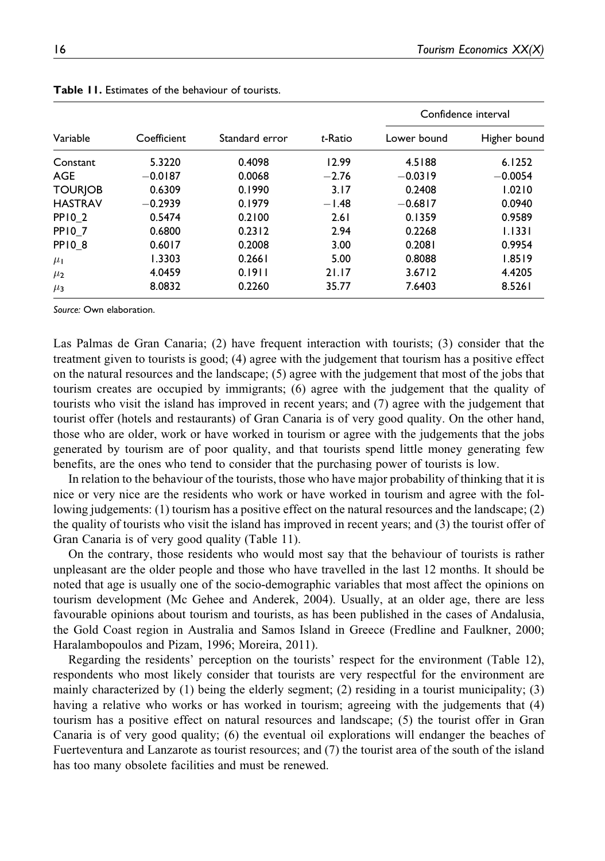| Variable          | Coefficient | Standard error | t-Ratio | Confidence interval |              |
|-------------------|-------------|----------------|---------|---------------------|--------------|
|                   |             |                |         | Lower bound         | Higher bound |
| Constant          | 5.3220      | 0.4098         | 12.99   | 4.5188              | 6.1252       |
| <b>AGE</b>        | $-0.0187$   | 0.0068         | $-2.76$ | $-0.0319$           | $-0.0054$    |
| <b>TOURIOB</b>    | 0.6309      | 0.1990         | 3.17    | 0.2408              | 1.0210       |
| <b>HASTRAV</b>    | $-0.2939$   | 0.1979         | $-1.48$ | $-0.6817$           | 0.0940       |
| <b>PP10 2</b>     | 0.5474      | 0.2100         | 2.61    | 0.1359              | 0.9589       |
| <b>PP107</b>      | 0.6800      | 0.2312         | 2.94    | 0.2268              | 1.1331       |
| PPIO <sub>8</sub> | 0.6017      | 0.2008         | 3.00    | 0.2081              | 0.9954       |
| $\mu_{\rm I}$     | 1.3303      | 0.2661         | 5.00    | 0.8088              | 1.8519       |
| $\mu_2$           | 4.0459      | 0.1911         | 21.17   | 3.6712              | 4.4205       |
| $\mu_3$           | 8.0832      | 0.2260         | 35.77   | 7.6403              | 8.5261       |

**Table 11.** Estimates of the behaviour of tourists.

Las Palmas de Gran Canaria; (2) have frequent interaction with tourists; (3) consider that the treatment given to tourists is good; (4) agree with the judgement that tourism has a positive effect on the natural resources and the landscape; (5) agree with the judgement that most of the jobs that tourism creates are occupied by immigrants; (6) agree with the judgement that the quality of tourists who visit the island has improved in recent years; and (7) agree with the judgement that tourist offer (hotels and restaurants) of Gran Canaria is of very good quality. On the other hand, those who are older, work or have worked in tourism or agree with the judgements that the jobs generated by tourism are of poor quality, and that tourists spend little money generating few benefits, are the ones who tend to consider that the purchasing power of tourists is low.

In relation to the behaviour of the tourists, those who have major probability of thinking that it is nice or very nice are the residents who work or have worked in tourism and agree with the following judgements: (1) tourism has a positive effect on the natural resources and the landscape; (2) the quality of tourists who visit the island has improved in recent years; and (3) the tourist offer of Gran Canaria is of very good quality (Table 11).

On the contrary, those residents who would most say that the behaviour of tourists is rather unpleasant are the older people and those who have travelled in the last 12 months. It should be noted that age is usually one of the socio-demographic variables that most affect the opinions on tourism development (Mc Gehee and Anderek, 2004). Usually, at an older age, there are less favourable opinions about tourism and tourists, as has been published in the cases of Andalusia, the Gold Coast region in Australia and Samos Island in Greece (Fredline and Faulkner, 2000; Haralambopoulos and Pizam, 1996; Moreira, 2011).

Regarding the residents' perception on the tourists' respect for the environment (Table 12), respondents who most likely consider that tourists are very respectful for the environment are mainly characterized by (1) being the elderly segment; (2) residing in a tourist municipality; (3) having a relative who works or has worked in tourism; agreeing with the judgements that (4) tourism has a positive effect on natural resources and landscape; (5) the tourist offer in Gran Canaria is of very good quality; (6) the eventual oil explorations will endanger the beaches of Fuerteventura and Lanzarote as tourist resources; and (7) the tourist area of the south of the island has too many obsolete facilities and must be renewed.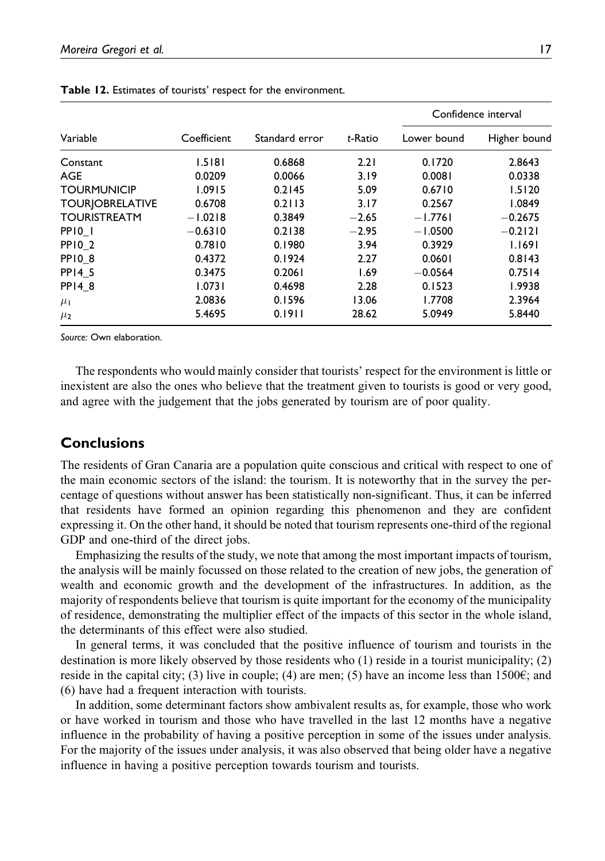|                        | Coefficient | Standard error | t-Ratio | Confidence interval |              |
|------------------------|-------------|----------------|---------|---------------------|--------------|
| Variable               |             |                |         | Lower bound         | Higher bound |
| Constant               | 1.5181      | 0.6868         | 2.21    | 0.1720              | 2.8643       |
| AGE                    | 0.0209      | 0.0066         | 3.19    | 0.0081              | 0.0338       |
| <b>TOURMUNICIP</b>     | 1.0915      | 0.2145         | 5.09    | 0.6710              | 1.5120       |
| <b>TOURIOBRELATIVE</b> | 0.6708      | 0.2113         | 3.17    | 0.2567              | 1.0849       |
| <b>TOURISTREATM</b>    | $-1.0218$   | 0.3849         | $-2.65$ | $-1.7761$           | $-0.2675$    |
| PPIO <sub>I</sub>      | $-0.6310$   | 0.2138         | $-2.95$ | $-1.0500$           | $-0.2121$    |
| <b>PP10 2</b>          | 0.7810      | 0.1980         | 3.94    | 0.3929              | 1.1691       |
| <b>PP108</b>           | 0.4372      | 0.1924         | 2.27    | 0.0601              | 0.8143       |
| <b>PP14 5</b>          | 0.3475      | 0.2061         | 1.69    | $-0.0564$           | 0.7514       |
| <b>PP148</b>           | 1.0731      | 0.4698         | 2.28    | 0.1523              | 1.9938       |
| $\mu_{\rm I}$          | 2.0836      | 0.1596         | 13.06   | 1.7708              | 2.3964       |
| $\mu_2$                | 5.4695      | 0.1911         | 28.62   | 5.0949              | 5.8440       |

**Table 12.** Estimates of tourists' respect for the environment.

The respondents who would mainly consider that tourists' respect for the environment is little or inexistent are also the ones who believe that the treatment given to tourists is good or very good, and agree with the judgement that the jobs generated by tourism are of poor quality.

# **Conclusions**

The residents of Gran Canaria are a population quite conscious and critical with respect to one of the main economic sectors of the island: the tourism. It is noteworthy that in the survey the percentage of questions without answer has been statistically non-significant. Thus, it can be inferred that residents have formed an opinion regarding this phenomenon and they are confident expressing it. On the other hand, it should be noted that tourism represents one-third of the regional GDP and one-third of the direct jobs.

Emphasizing the results of the study, we note that among the most important impacts of tourism, the analysis will be mainly focussed on those related to the creation of new jobs, the generation of wealth and economic growth and the development of the infrastructures. In addition, as the majority of respondents believe that tourism is quite important for the economy of the municipality of residence, demonstrating the multiplier effect of the impacts of this sector in the whole island, the determinants of this effect were also studied.

In general terms, it was concluded that the positive influence of tourism and tourists in the destination is more likely observed by those residents who (1) reside in a tourist municipality; (2) reside in the capital city; (3) live in couple; (4) are men; (5) have an income less than 1500 $\epsilon$ ; and (6) have had a frequent interaction with tourists.

In addition, some determinant factors show ambivalent results as, for example, those who work or have worked in tourism and those who have travelled in the last 12 months have a negative influence in the probability of having a positive perception in some of the issues under analysis. For the majority of the issues under analysis, it was also observed that being older have a negative influence in having a positive perception towards tourism and tourists.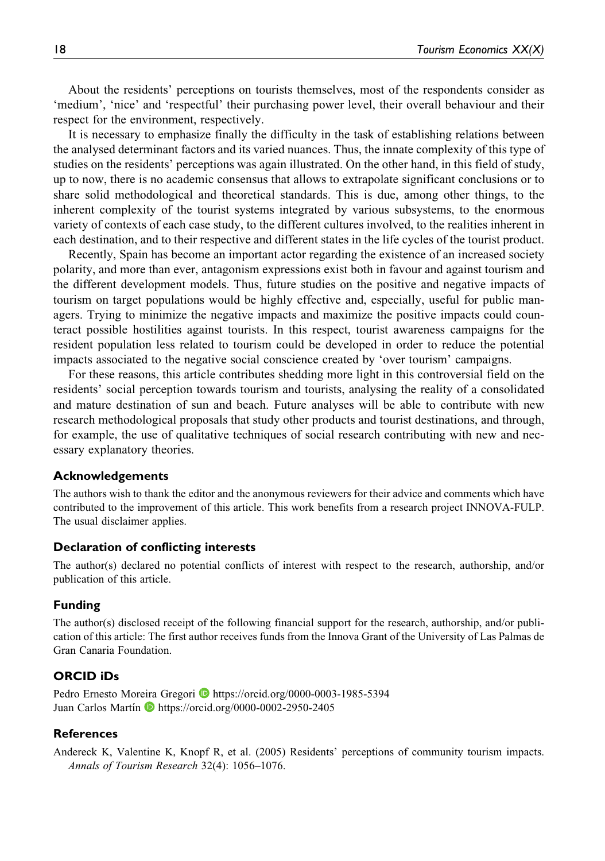About the residents' perceptions on tourists themselves, most of the respondents consider as 'medium', 'nice' and 'respectful' their purchasing power level, their overall behaviour and their respect for the environment, respectively.

It is necessary to emphasize finally the difficulty in the task of establishing relations between the analysed determinant factors and its varied nuances. Thus, the innate complexity of this type of studies on the residents' perceptions was again illustrated. On the other hand, in this field of study, up to now, there is no academic consensus that allows to extrapolate significant conclusions or to share solid methodological and theoretical standards. This is due, among other things, to the inherent complexity of the tourist systems integrated by various subsystems, to the enormous variety of contexts of each case study, to the different cultures involved, to the realities inherent in each destination, and to their respective and different states in the life cycles of the tourist product.

Recently, Spain has become an important actor regarding the existence of an increased society polarity, and more than ever, antagonism expressions exist both in favour and against tourism and the different development models. Thus, future studies on the positive and negative impacts of tourism on target populations would be highly effective and, especially, useful for public managers. Trying to minimize the negative impacts and maximize the positive impacts could counteract possible hostilities against tourists. In this respect, tourist awareness campaigns for the resident population less related to tourism could be developed in order to reduce the potential impacts associated to the negative social conscience created by 'over tourism' campaigns.

For these reasons, this article contributes shedding more light in this controversial field on the residents' social perception towards tourism and tourists, analysing the reality of a consolidated and mature destination of sun and beach. Future analyses will be able to contribute with new research methodological proposals that study other products and tourist destinations, and through, for example, the use of qualitative techniques of social research contributing with new and necessary explanatory theories.

#### **Acknowledgements**

The authors wish to thank the editor and the anonymous reviewers for their advice and comments which have contributed to the improvement of this article. This work benefits from a research project INNOVA-FULP. The usual disclaimer applies.

#### **Declaration of conflicting interests**

The author(s) declared no potential conflicts of interest with respect to the research, authorship, and/or publication of this article.

#### **Funding**

The author(s) disclosed receipt of the following financial support for the research, authorship, and/or publication of this article: The first author receives funds from the Innova Grant of the University of Las Palmas de Gran Canaria Foundation.

### **ORCID iDs**

Pedro Ernesto Moreira Gregori D<https://orcid.org/0000-0003-1985-5394> Juan Carlos Martín **D** <https://orcid.org/0000-0002-2950-2405>

#### **References**

Andereck K, Valentine K, Knopf R, et al. (2005) Residents' perceptions of community tourism impacts. Annals of Tourism Research 32(4): 1056–1076.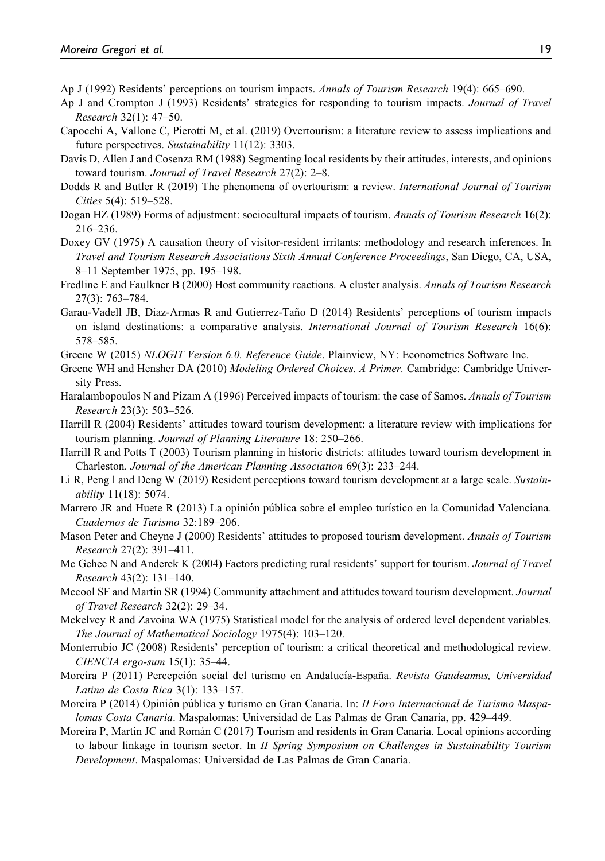- Ap J (1992) Residents' perceptions on tourism impacts. Annals of Tourism Research 19(4): 665–690.
- Ap J and Crompton J (1993) Residents' strategies for responding to tourism impacts. Journal of Travel Research 32(1): 47–50.
- Capocchi A, Vallone C, Pierotti M, et al. (2019) Overtourism: a literature review to assess implications and future perspectives. Sustainability 11(12): 3303.
- Davis D, Allen J and Cosenza RM (1988) Segmenting local residents by their attitudes, interests, and opinions toward tourism. Journal of Travel Research 27(2): 2–8.
- Dodds R and Butler R (2019) The phenomena of overtourism: a review. International Journal of Tourism Cities 5(4): 519–528.
- Dogan HZ (1989) Forms of adjustment: sociocultural impacts of tourism. Annals of Tourism Research 16(2): 216–236.
- Doxey GV (1975) A causation theory of visitor-resident irritants: methodology and research inferences. In Travel and Tourism Research Associations Sixth Annual Conference Proceedings, San Diego, CA, USA, 8–11 September 1975, pp. 195–198.
- Fredline E and Faulkner B (2000) Host community reactions. A cluster analysis. Annals of Tourism Research 27(3): 763–784.
- Garau-Vadell JB, Díaz-Armas R and Gutierrez-Taño D (2014) Residents' perceptions of tourism impacts on island destinations: a comparative analysis. International Journal of Tourism Research 16(6): 578–585.
- Greene W (2015) NLOGIT Version 6.0. Reference Guide. Plainview, NY: Econometrics Software Inc.
- Greene WH and Hensher DA (2010) Modeling Ordered Choices. A Primer. Cambridge: Cambridge University Press.
- Haralambopoulos N and Pizam A (1996) Perceived impacts of tourism: the case of Samos. Annals of Tourism Research 23(3): 503–526.
- Harrill R (2004) Residents' attitudes toward tourism development: a literature review with implications for tourism planning. Journal of Planning Literature 18: 250–266.
- Harrill R and Potts T (2003) Tourism planning in historic districts: attitudes toward tourism development in Charleston. Journal of the American Planning Association 69(3): 233–244.
- Li R, Peng l and Deng W (2019) Resident perceptions toward tourism development at a large scale. Sustainability 11(18): 5074.
- Marrero JR and Huete R (2013) La opinión pública sobre el empleo turístico en la Comunidad Valenciana. Cuadernos de Turismo 32:189–206.
- Mason Peter and Cheyne J (2000) Residents' attitudes to proposed tourism development. Annals of Tourism Research 27(2): 391–411.
- Mc Gehee N and Anderek K (2004) Factors predicting rural residents' support for tourism. Journal of Travel Research 43(2): 131–140.
- Mccool SF and Martin SR (1994) Community attachment and attitudes toward tourism development. Journal of Travel Research 32(2): 29–34.
- Mckelvey R and Zavoina WA (1975) Statistical model for the analysis of ordered level dependent variables. The Journal of Mathematical Sociology 1975(4): 103–120.
- Monterrubio JC (2008) Residents' perception of tourism: a critical theoretical and methodological review. CIENCIA ergo-sum 15(1): 35–44.
- Moreira P (2011) Percepción social del turismo en Andalucía-España. Revista Gaudeamus, Universidad Latina de Costa Rica 3(1): 133–157.
- Moreira P (2014) Opinión pública y turismo en Gran Canaria. In: *II Foro Internacional de Turismo Maspa*lomas Costa Canaria. Maspalomas: Universidad de Las Palmas de Gran Canaria, pp. 429–449.
- Moreira P, Martin JC and Román C (2017) Tourism and residents in Gran Canaria. Local opinions according to labour linkage in tourism sector. In *II Spring Symposium on Challenges in Sustainability Tourism* Development. Maspalomas: Universidad de Las Palmas de Gran Canaria.